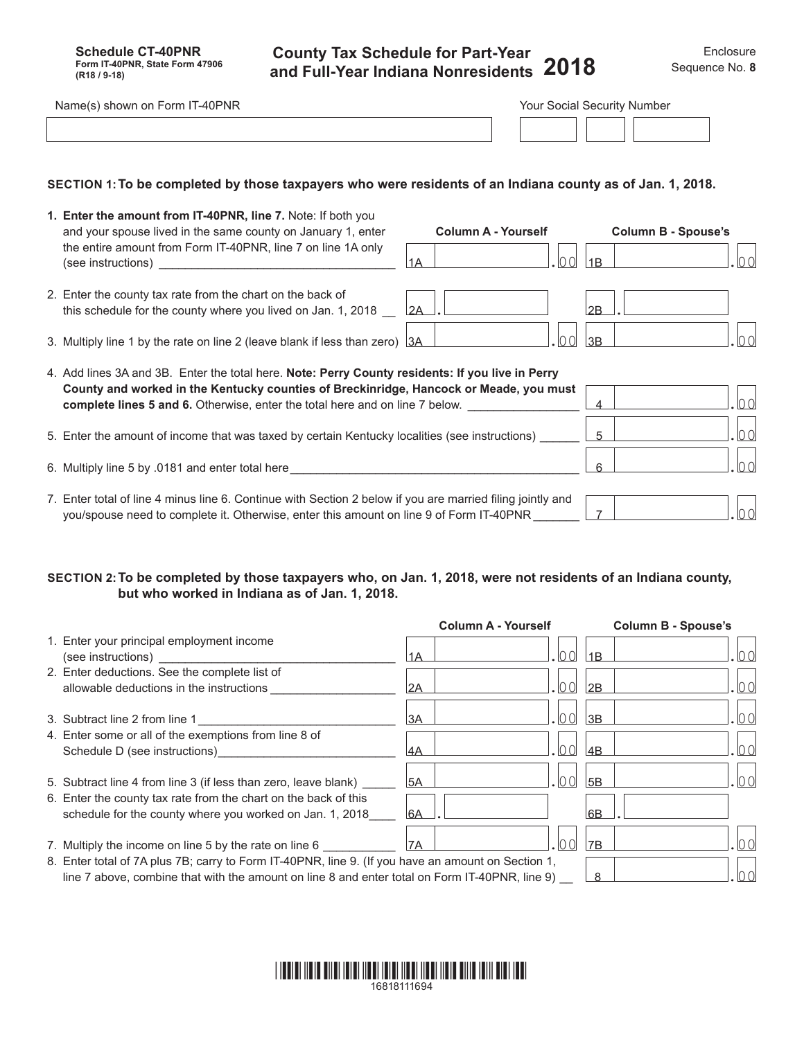**County Tax Schedule for Part-Year and Full-Year Indiana Nonresidents**

| IT-40PNR<br>) shown on Form IT<br>Name(s) | nrıal | Security | v Number |  |
|-------------------------------------------|-------|----------|----------|--|
|                                           |       |          |          |  |
|                                           |       |          |          |  |

## **SECTION 1:To be completed by those taxpayers who were residents of an Indiana county as of Jan. 1, 2018.**

| 1. Enter the amount from IT-40PNR, line 7. Note: If both you<br>and your spouse lived in the same county on January 1, enter<br>the entire amount from Form IT-40PNR, line 7 on line 1A only                                                                               | <b>Column A - Yourself</b> | <b>Column B - Spouse's</b> |
|----------------------------------------------------------------------------------------------------------------------------------------------------------------------------------------------------------------------------------------------------------------------------|----------------------------|----------------------------|
| (see instructions) ___________________________________                                                                                                                                                                                                                     | 1A                         | ∩∩<br>1B                   |
| 2. Enter the county tax rate from the chart on the back of<br>this schedule for the county where you lived on Jan. 1, 2018                                                                                                                                                 | 2A                         | 2B                         |
| 3. Multiply line 1 by the rate on line 2 (leave blank if less than zero) 3A                                                                                                                                                                                                | . IO OI                    | ln n<br>3B                 |
| 4. Add lines 3A and 3B. Enter the total here. Note: Perry County residents: If you live in Perry<br>County and worked in the Kentucky counties of Breckinridge, Hancock or Meade, you must<br>complete lines 5 and 6. Otherwise, enter the total here and on line 7 below. |                            | ln n<br>4                  |
| 5. Enter the amount of income that was taxed by certain Kentucky localities (see instructions)                                                                                                                                                                             |                            | 100<br>5                   |
| 6. Multiply line 5 by .0181 and enter total here________________________________                                                                                                                                                                                           |                            | lo o<br>հ                  |
| 7. Enter total of line 4 minus line 6. Continue with Section 2 below if you are married filing jointly and<br>you/spouse need to complete it. Otherwise, enter this amount on line 9 of Form IT-40PNR                                                                      |                            | nn                         |

## **SECTION 2:To be completed by those taxpayers who, on Jan. 1, 2018, were not residents of an Indiana county, but who worked in Indiana as of Jan. 1, 2018.**

|                                                                                                                                                                                                      | <b>Column A - Yourself</b> |                         | <b>Column B - Spouse's</b> |
|------------------------------------------------------------------------------------------------------------------------------------------------------------------------------------------------------|----------------------------|-------------------------|----------------------------|
| 1. Enter your principal employment income<br>(see instructions)<br>1A                                                                                                                                |                            | l1B                     |                            |
| 2. Enter deductions. See the complete list of<br>allowable deductions in the instructions<br>2A                                                                                                      |                            | IN UI<br>2B             |                            |
| 13A<br>3. Subtract line 2 from line 1                                                                                                                                                                |                            | 3B                      | $\cap$ $\cap$              |
| 4. Enter some or all of the exemptions from line 8 of                                                                                                                                                |                            |                         |                            |
| I4A<br>Schedule D (see instructions)                                                                                                                                                                 |                            | IN U<br>$\overline{AB}$ |                            |
| <b>5A</b><br>5. Subtract line 4 from line 3 (if less than zero, leave blank)                                                                                                                         |                            | 5B                      |                            |
| 6. Enter the county tax rate from the chart on the back of this<br>schedule for the county where you worked on Jan. 1, 2018<br><sup>6A</sup>                                                         |                            | l6B                     |                            |
| 7. Multiply the income on line 5 by the rate on line 6<br>17A                                                                                                                                        |                            | 7B                      |                            |
| 8. Enter total of 7A plus 7B; carry to Form IT-40PNR, line 9. (If you have an amount on Section 1,<br>line 7 above, combine that with the amount on line 8 and enter total on Form IT-40PNR, line 9) |                            | 8                       |                            |